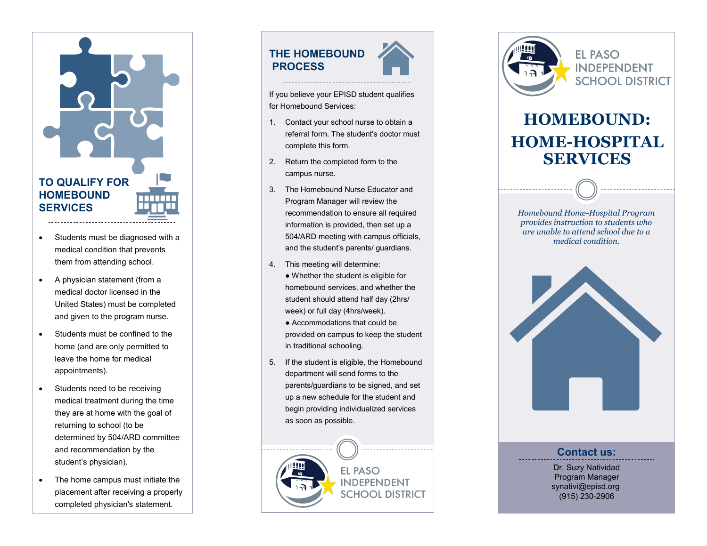## **TO QUALIFY FOR HOMEBOUND SERVICES**

- Students must be diagnosed with a medical condition that prevents them from attending school.
- A physician statement (from a medical doctor licensed in the United States) must be completed and given to the program nurse.
- Students must be confined to the home (and are only permitted to leave the home for medical appointments).
- Students need to be receiving medical treatment during the time they are at home with the goal of returning to school (to be determined by 504/ARD committee and recommendation by the student 's physician).
- The home campus must initiate the placement after receiving a properly completed physician's statement.

### **THE HOMEBOUND PROCESS**



If you believe your EPISD student qualifies for Homebound Services:

- 1. Contact your school nurse to obtain a referral form. The student 's doctor must complete this form.
- 2. Return the completed form to the campus nurse.
- 3. The Homebound Nurse Educator and Program Manager will review the recommendation to ensure all required information is provided, then set up a 504/ARD meeting with campus officials, and the student 's parents/ guardians.
- 4. This meeting will determine:
	- Whether the student is eligible for homebound services, and whether the student should attend half day (2hrs/ week) or full day (4hrs/week).
	- Accommodations that could be provided on campus to keep the student in traditional schooling.
- 5. If the student is eligible, the Homebound department will send forms to the parents/guardians to be signed, and set up a new schedule for the student and begin providing individualized services as soon as possible.





**EL PASO INDEPENDENT SCHOOL DISTRICT** 

# **HOMEBOUND: HOME -HOSPITAL SERVICES**

*Homebound Home -Hospital Program provides instruction to students who are unable to attend school due to a medical condition.* 



#### **Contact us:**

Dr. Suzy Natividad Program Manager synativi@episd.org (915) 230 -2906